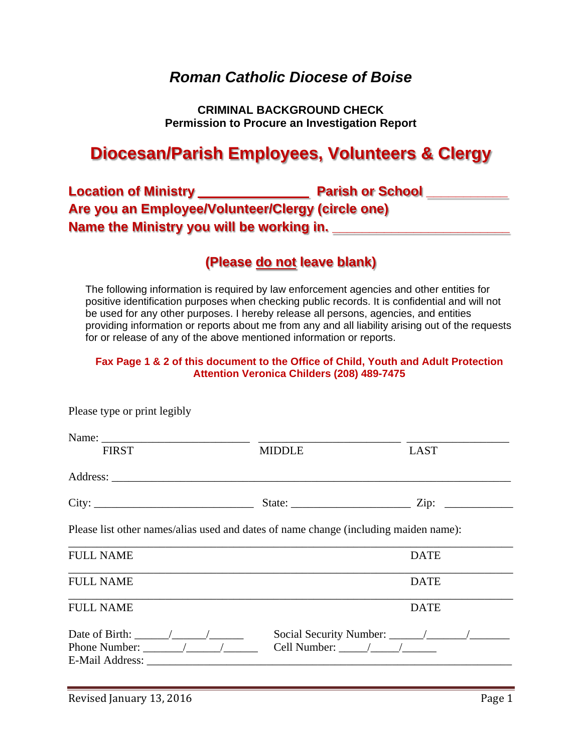# *Roman Catholic Diocese of Boise*

**CRIMINAL BACKGROUND CHECK Permission to Procure an Investigation Report** 

# **Diocesan/Parish Employees, Volunteers & Clergy**

| <b>Location of Ministry</b>                       | <b>Parish or School</b> |
|---------------------------------------------------|-------------------------|
| Are you an Employee/Volunteer/Clergy (circle one) |                         |
| Name the Ministry you will be working in.         |                         |

# **(Please do not leave blank)**

The following information is required by law enforcement agencies and other entities for positive identification purposes when checking public records. It is confidential and will not be used for any other purposes. I hereby release all persons, agencies, and entities providing information or reports about me from any and all liability arising out of the requests for or release of any of the above mentioned information or reports.

### **Fax Page 1 & 2 of this document to the Office of Child, Youth and Adult Protection Attention Veronica Childers (208) 489-7475**

| Name:<br><b>FIRST</b>                                                                | <b>MIDDLE</b>                                                                             | <b>LAST</b> |  |  |  |
|--------------------------------------------------------------------------------------|-------------------------------------------------------------------------------------------|-------------|--|--|--|
|                                                                                      |                                                                                           |             |  |  |  |
| City:                                                                                |                                                                                           |             |  |  |  |
| Please list other names/alias used and dates of name change (including maiden name): |                                                                                           |             |  |  |  |
| <b>FULL NAME</b>                                                                     |                                                                                           | <b>DATE</b> |  |  |  |
| <b>FULL NAME</b>                                                                     |                                                                                           | <b>DATE</b> |  |  |  |
| <b>FULL NAME</b>                                                                     |                                                                                           | <b>DATE</b> |  |  |  |
| Phone Number: $\angle$ / /<br>E-Mail Address:                                        | Cell Number: $\frac{1}{\sqrt{1-\frac{1}{2}}}\left  \frac{1}{\sqrt{1-\frac{1}{2}}}\right $ |             |  |  |  |

Please type or print legibly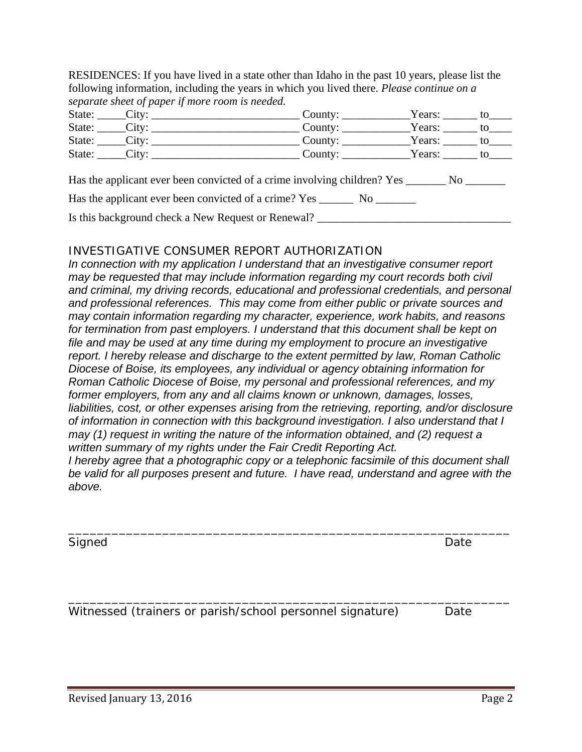RESIDENCES: If you have lived in a state other than Idaho in the past 10 years, please list the following information, including the years in which you lived there. *Please continue on a separate sheet of paper if more room is needed.* 

| State: | Citv: | County:<br>Years: |  |
|--------|-------|-------------------|--|
| State: | City: | Years:<br>County: |  |
| State: | City: | County:<br>Years: |  |
| State: | City: | Years:<br>County: |  |

Has the applicant ever been convicted of a crime involving children? Yes \_\_\_\_\_\_\_ No \_\_\_\_\_\_\_

Has the applicant ever been convicted of a crime? Yes \_\_\_\_\_\_\_\_ No \_\_\_\_\_\_\_\_

Is this background check a New Request or Renewal? \_\_\_\_\_\_\_\_\_\_\_\_\_\_\_\_\_\_\_\_\_\_\_\_\_\_\_\_\_\_

# INVESTIGATIVE CONSUMER REPORT AUTHORIZATION

*In connection with my application I understand that an investigative consumer report may be requested that may include information regarding my court records both civil and criminal, my driving records, educational and professional credentials, and personal and professional references. This may come from either public or private sources and may contain information regarding my character, experience, work habits, and reasons for termination from past employers. I understand that this document shall be kept on file and may be used at any time during my employment to procure an investigative report. I hereby release and discharge to the extent permitted by law, Roman Catholic Diocese of Boise, its employees, any individual or agency obtaining information for Roman Catholic Diocese of Boise, my personal and professional references, and my former employers, from any and all claims known or unknown, damages, losses, liabilities, cost, or other expenses arising from the retrieving, reporting, and/or disclosure of information in connection with this background investigation. I also understand that I may (1) request in writing the nature of the information obtained, and (2) request a written summary of my rights under the Fair Credit Reporting Act. I hereby agree that a photographic copy or a telephonic facsimile of this document shall* 

\_\_\_\_\_\_\_\_\_\_\_\_\_\_\_\_\_\_\_\_\_\_\_\_\_\_\_\_\_\_\_\_\_\_\_\_\_\_\_\_\_\_\_\_\_\_\_\_\_\_\_\_\_\_\_\_\_\_\_\_\_

\_\_\_\_\_\_\_\_\_\_\_\_\_\_\_\_\_\_\_\_\_\_\_\_\_\_\_\_\_\_\_\_\_\_\_\_\_\_\_\_\_\_\_\_\_\_\_\_\_\_\_\_\_\_\_\_\_\_\_\_\_

*be valid for all purposes present and future. I have read, understand and agree with the above.* 

Signed Date **Date** 

Witnessed (trainers or parish/school personnel signature) Date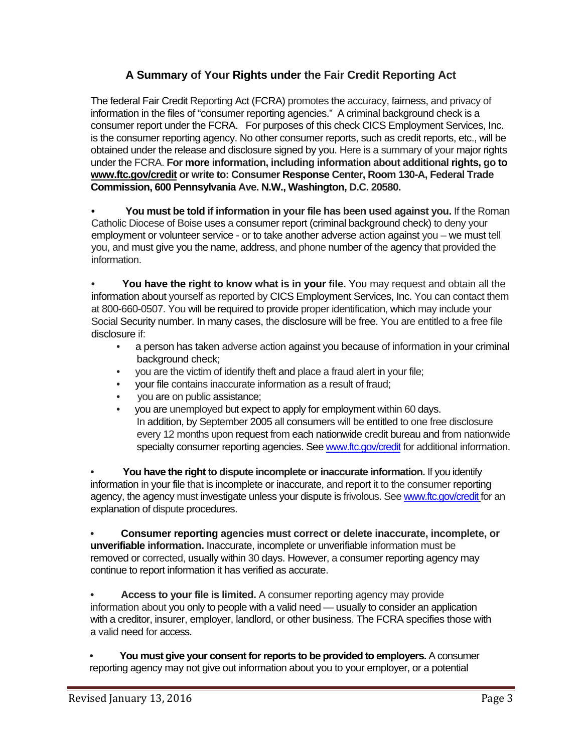# **A Summary of Your Rights under the Fair Credit Reporting Act**

The federal Fair Credit Reporting Act (FCRA) promotes the accuracy, fairness, and privacy of information in the files of "consumer reporting agencies." A criminal background check is a consumer report under the FCRA. For purposes of this check CICS Employment Services, Inc. is the consumer reporting agency. No other consumer reports, such as credit reports, etc., will be obtained under the release and disclosure signed by you. Here is a summary of your major rights under the FCRA. **For more information, including information about additional rights, go to www.ftc.gov/credit or write to: Consumer Response Center, Room 130-A, Federal Trade Commission, 600 Pennsylvania Ave. N.W., Washington, D.C. 20580.** 

**• You must be told if information in your file has been used against you.** If the Roman Catholic Diocese of Boise uses a consumer report (criminal background check) to deny your employment or volunteer service - or to take another adverse action against you – we must tell you, and must give you the name, address, and phone number of the agency that provided the information.

**• You have the right to know what is in your file.** You may request and obtain all the information about yourself as reported by CICS Employment Services, Inc. You can contact them at 800-660-0507. You will be required to provide proper identification, which may include your Social Security number. In many cases, the disclosure will be free. You are entitled to a free file disclosure if:

- a person has taken adverse action against you because of information in your criminal background check;
- you are the victim of identify theft and place a fraud alert in your file;
- your file contains inaccurate information as a result of fraud;
- you are on public assistance;
- you are unemployed but expect to apply for employment within 60 days. In addition, by September 2005 all consumers will be entitled to one free disclosure every 12 months upon request from each nationwide credit bureau and from nationwide specialty consumer reporting agencies. See www.ftc.gov/credit for additional information.

**• You have the right to dispute incomplete or inaccurate information.** If you identify information in your file that is incomplete or inaccurate, and report it to the consumer reporting agency, the agency must investigate unless your dispute is frivolous. See www.ftc.gov/credit for an explanation of dispute procedures.

**• Consumer reporting agencies must correct or delete inaccurate, incomplete, or unverifiable information.** Inaccurate, incomplete or unverifiable information must be removed or corrected, usually within 30 days. However, a consumer reporting agency may continue to report information it has verified as accurate.

**• Access to your file is limited.** A consumer reporting agency may provide information about you only to people with a valid need — usually to consider an application with a creditor, insurer, employer, landlord, or other business. The FCRA specifies those with a valid need for access.

**• You must give your consent for reports to be provided to employers.** A consumer reporting agency may not give out information about you to your employer, or a potential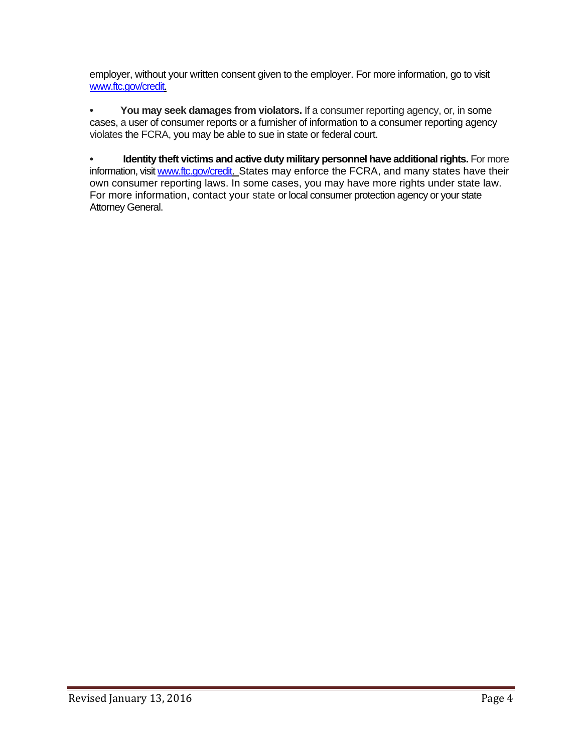employer, without your written consent given to the employer. For more information, go to visit www.ftc.gov/credit.

**• You may seek damages from violators.** If a consumer reporting agency, or, in some cases, a user of consumer reports or a furnisher of information to a consumer reporting agency violates the FCRA, you may be able to sue in state or federal court.

**• Identity theft victims and active duty military personnel have additional rights. For more** information, visit www.ftc.gov/credit. States may enforce the FCRA, and many states have their own consumer reporting laws. In some cases, you may have more rights under state law. For more information, contact your state or local consumer protection agency or your state Attorney General.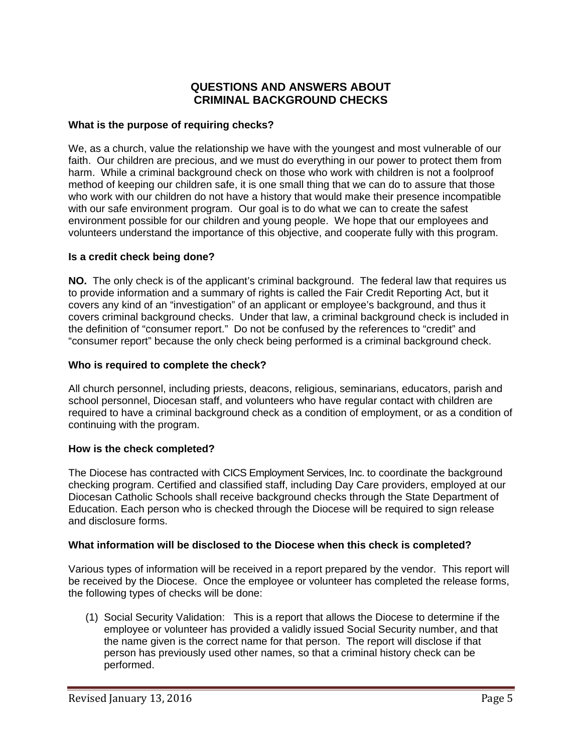# **QUESTIONS AND ANSWERS ABOUT CRIMINAL BACKGROUND CHECKS**

### **What is the purpose of requiring checks?**

We, as a church, value the relationship we have with the youngest and most vulnerable of our faith. Our children are precious, and we must do everything in our power to protect them from harm. While a criminal background check on those who work with children is not a foolproof method of keeping our children safe, it is one small thing that we can do to assure that those who work with our children do not have a history that would make their presence incompatible with our safe environment program. Our goal is to do what we can to create the safest environment possible for our children and young people. We hope that our employees and volunteers understand the importance of this objective, and cooperate fully with this program.

#### **Is a credit check being done?**

**NO.** The only check is of the applicant's criminal background. The federal law that requires us to provide information and a summary of rights is called the Fair Credit Reporting Act, but it covers any kind of an "investigation" of an applicant or employee's background, and thus it covers criminal background checks. Under that law, a criminal background check is included in the definition of "consumer report." Do not be confused by the references to "credit" and "consumer report" because the only check being performed is a criminal background check.

#### **Who is required to complete the check?**

All church personnel, including priests, deacons, religious, seminarians, educators, parish and school personnel, Diocesan staff, and volunteers who have regular contact with children are required to have a criminal background check as a condition of employment, or as a condition of continuing with the program.

# **How is the check completed?**

The Diocese has contracted with CICS Employment Services, Inc. to coordinate the background checking program. Certified and classified staff, including Day Care providers, employed at our Diocesan Catholic Schools shall receive background checks through the State Department of Education. Each person who is checked through the Diocese will be required to sign release and disclosure forms.

#### **What information will be disclosed to the Diocese when this check is completed?**

Various types of information will be received in a report prepared by the vendor. This report will be received by the Diocese. Once the employee or volunteer has completed the release forms, the following types of checks will be done:

(1) Social Security Validation: This is a report that allows the Diocese to determine if the employee or volunteer has provided a validly issued Social Security number, and that the name given is the correct name for that person. The report will disclose if that person has previously used other names, so that a criminal history check can be performed.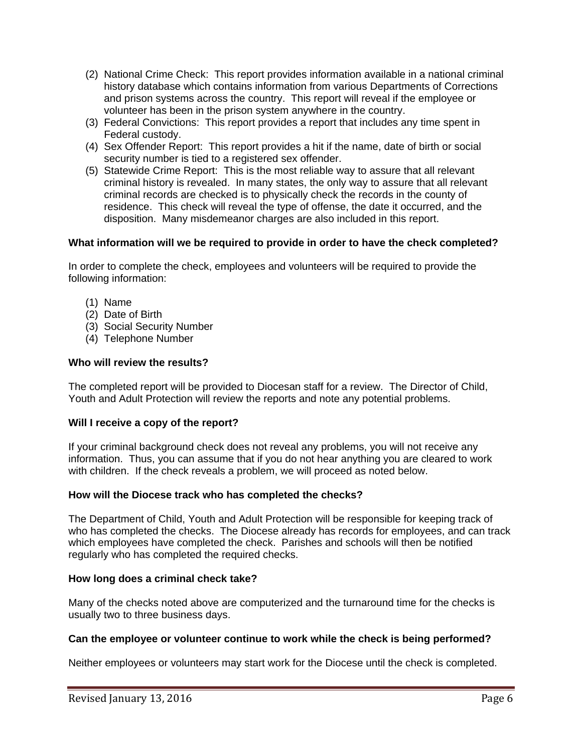- (2) National Crime Check: This report provides information available in a national criminal history database which contains information from various Departments of Corrections and prison systems across the country. This report will reveal if the employee or volunteer has been in the prison system anywhere in the country.
- (3) Federal Convictions: This report provides a report that includes any time spent in Federal custody.
- (4) Sex Offender Report: This report provides a hit if the name, date of birth or social security number is tied to a registered sex offender.
- (5) Statewide Crime Report: This is the most reliable way to assure that all relevant criminal history is revealed. In many states, the only way to assure that all relevant criminal records are checked is to physically check the records in the county of residence. This check will reveal the type of offense, the date it occurred, and the disposition. Many misdemeanor charges are also included in this report.

# **What information will we be required to provide in order to have the check completed?**

In order to complete the check, employees and volunteers will be required to provide the following information:

- (1) Name
- (2) Date of Birth
- (3) Social Security Number
- (4) Telephone Number

# **Who will review the results?**

The completed report will be provided to Diocesan staff for a review. The Director of Child, Youth and Adult Protection will review the reports and note any potential problems.

# **Will I receive a copy of the report?**

If your criminal background check does not reveal any problems, you will not receive any information. Thus, you can assume that if you do not hear anything you are cleared to work with children. If the check reveals a problem, we will proceed as noted below.

# **How will the Diocese track who has completed the checks?**

The Department of Child, Youth and Adult Protection will be responsible for keeping track of who has completed the checks. The Diocese already has records for employees, and can track which employees have completed the check. Parishes and schools will then be notified regularly who has completed the required checks.

# **How long does a criminal check take?**

Many of the checks noted above are computerized and the turnaround time for the checks is usually two to three business days.

# **Can the employee or volunteer continue to work while the check is being performed?**

Neither employees or volunteers may start work for the Diocese until the check is completed.